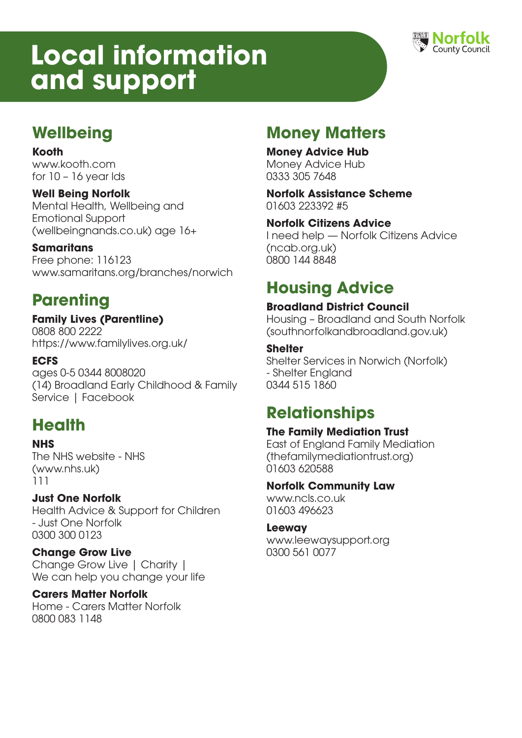# **Local information and support**



### **Wellbeing**

**Kooth** www.kooth.com for 10 – 16 year lds

#### **Well Being Norfolk**

Mental Health, Wellbeing and Emotional Support (wellbeingnands.co.uk) age 16+

#### **Samaritans**

Free phone: 116123 www.samaritans.org/branches/norwich

### **Parenting**

#### **Family Lives (Parentline)**  0808 800 2222

https://www.familylives.org.uk/

### **ECFS**

ages 0-5 0344 8008020 (14) Broadland Early Childhood & Family Service | Facebook

### **Health**

### **NHS**

The NHS website - NHS (www.nhs.uk) 111

### **Just One Norfolk**

Health Advice & Support for Children - Just One Norfolk 0300 300 0123

### **Change Grow Live**

Change Grow Live | Charity | We can help you change your life

### **Carers Matter Norfolk**

Home - Carers Matter Norfolk 0800 083 1148

### **Money Matters**

### **Money Advice Hub**

Money Advice Hub 0333 305 7648

**Norfolk Assistance Scheme** 01603 223392 #5

#### **Norfolk Citizens Advice**

I need help — Norfolk Citizens Advice (ncab.org.uk) 0800 144 8848

### **Housing Advice**

### **Broadland District Council**

Housing – Broadland and South Norfolk (southnorfolkandbroadland.gov.uk)

#### **Shelter**

Shelter Services in Norwich (Norfolk) - Shelter England 0344 515 1860

### **Relationships**

### **The Family Mediation Trust**

East of England Family Mediation (thefamilymediationtrust.org) 01603 620588

#### **Norfolk Community Law**

www.ncls.co.uk 01603 496623

#### **Leeway**

www.leewaysupport.org 0300 561 0077